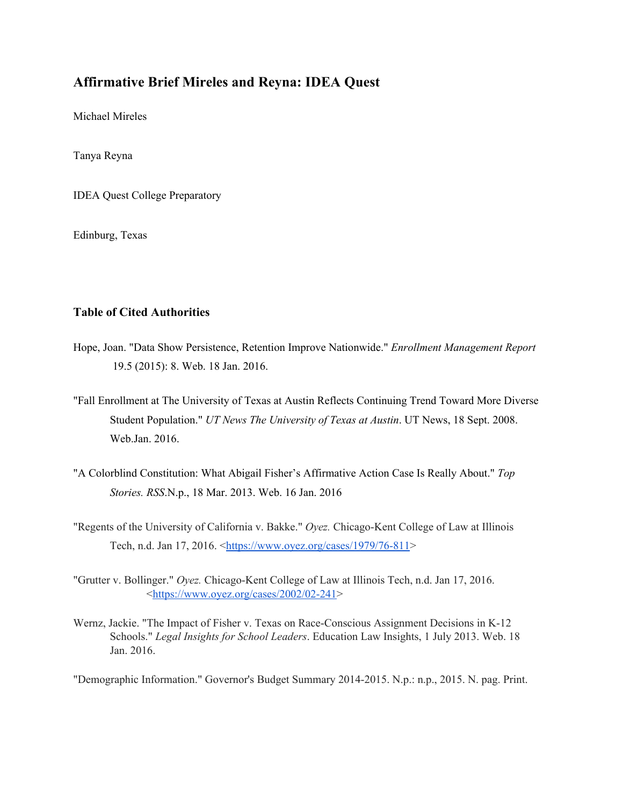# **Affirmative Brief Mireles and Reyna: IDEA Quest**

Michael Mireles

Tanya Reyna

IDEA Quest College Preparatory

Edinburg, Texas

## **Table of Cited Authorities**

- Hope, Joan. "Data Show Persistence, Retention Improve Nationwide." *Enrollment Management Report* 19.5 (2015): 8. Web. 18 Jan. 2016.
- "Fall Enrollment at The University of Texas at Austin Reflects Continuing Trend Toward More Diverse Student Population." *UT News The University of Texas at Austin*. UT News, 18 Sept. 2008. Web.Jan. 2016.
- "A Colorblind Constitution: What Abigail Fisher's Affirmative Action Case Is Really About." *Top Stories. RSS*.N.p., 18 Mar. 2013. Web. 16 Jan. 2016
- "Regents of the University of California v. Bakke." Oyez. Chicago-Kent College of Law at Illinois Tech, n.d. Jan 17, 2016. <https://www.oyez.org/cases/1979/76-811>
- "Grutter v. Bollinger." Oyez. Chicago-Kent College of Law at Illinois Tech, n.d. Jan 17, 2016.  $\frac{\text{https://www.oyez.org/cases}/2002/02-241}{\text{https://www.oyez.org/cases}/2002/02-241}$
- Wernz, Jackie. "The Impact of Fisher v. Texas on Race-Conscious Assignment Decisions in K-12 Schools." *Legal Insights for School Leaders*. Education Law Insights, 1 July 2013. Web. 18 Jan. 2016.

"Demographic Information." Governor's Budget Summary 20142015. N.p.: n.p., 2015. N. pag. Print.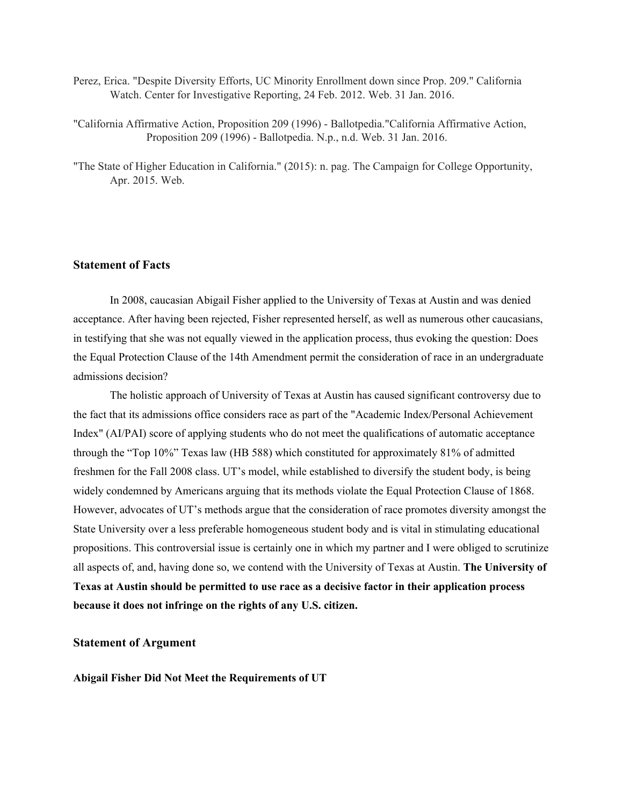- Perez, Erica. "Despite Diversity Efforts, UC Minority Enrollment down since Prop. 209." California Watch. Center for Investigative Reporting, 24 Feb. 2012. Web. 31 Jan. 2016.
- "California Affirmative Action, Proposition 209 (1996) Ballotpedia."California Affirmative Action, Proposition 209 (1996) - Ballotpedia. N.p., n.d. Web. 31 Jan. 2016.
- "The State of Higher Education in California." (2015): n. pag. The Campaign for College Opportunity, Apr. 2015. Web.

### **Statement of Facts**

In 2008, caucasian Abigail Fisher applied to the University of Texas at Austin and was denied acceptance. After having been rejected, Fisher represented herself, as well as numerous other caucasians, in testifying that she was not equally viewed in the application process, thus evoking the question: Does the Equal Protection Clause of the 14th Amendment permit the consideration of race in an undergraduate admissions decision?

The holistic approach of University of Texas at Austin has caused significant controversy due to the fact that its admissions office considers race as part of the "Academic Index/Personal Achievement Index" (AI/PAI) score of applying students who do not meet the qualifications of automatic acceptance through the "Top 10%" Texas law (HB 588) which constituted for approximately 81% of admitted freshmen for the Fall 2008 class. UT's model, while established to diversify the student body, is being widely condemned by Americans arguing that its methods violate the Equal Protection Clause of 1868. However, advocates of UT's methods argue that the consideration of race promotes diversity amongst the State University over a less preferable homogeneous student body and is vital in stimulating educational propositions. This controversial issue is certainly one in which my partner and I were obliged to scrutinize all aspects of, and, having done so, we contend with the University of Texas at Austin. **The University of Texas at Austin should be permitted to use race as a decisive factor in their application process because it does not infringe on the rights of any U.S. citizen.**

#### **Statement of Argument**

**Abigail Fisher Did Not Meet the Requirements of UT**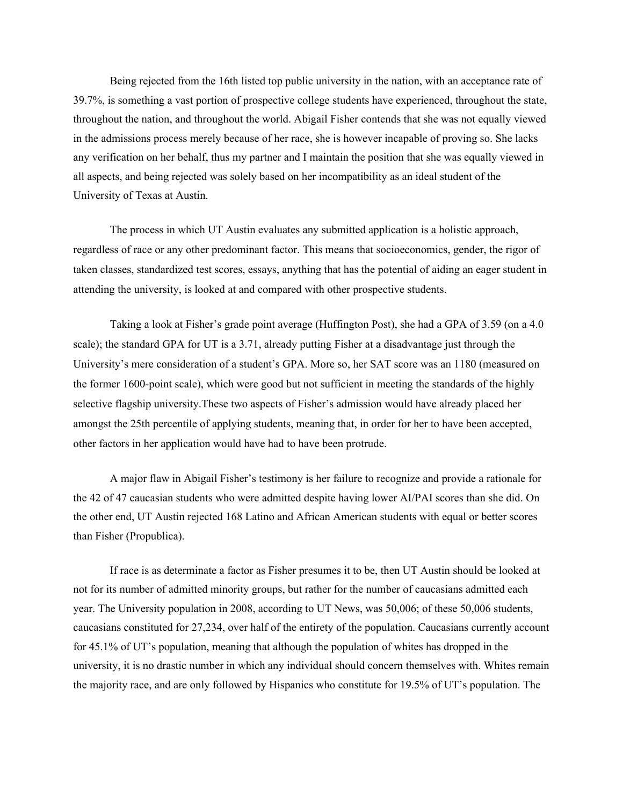Being rejected from the 16th listed top public university in the nation, with an acceptance rate of 39.7%, is something a vast portion of prospective college students have experienced, throughout the state, throughout the nation, and throughout the world. Abigail Fisher contends that she was not equally viewed in the admissions process merely because of her race, she is however incapable of proving so. She lacks any verification on her behalf, thus my partner and I maintain the position that she was equally viewed in all aspects, and being rejected was solely based on her incompatibility as an ideal student of the University of Texas at Austin.

The process in which UT Austin evaluates any submitted application is a holistic approach, regardless of race or any other predominant factor. This means that socioeconomics, gender, the rigor of taken classes, standardized test scores, essays, anything that has the potential of aiding an eager student in attending the university, is looked at and compared with other prospective students.

Taking a look at Fisher's grade point average (Huffington Post), she had a GPA of 3.59 (on a 4.0 scale); the standard GPA for UT is a 3.71, already putting Fisher at a disadvantage just through the University's mere consideration of a student's GPA. More so, her SAT score was an 1180 (measured on the former 1600-point scale), which were good but not sufficient in meeting the standards of the highly selective flagship university.These two aspects of Fisher's admission would have already placed her amongst the 25th percentile of applying students, meaning that, in order for her to have been accepted, other factors in her application would have had to have been protrude.

A major flaw in Abigail Fisher's testimony is her failure to recognize and provide a rationale for the 42 of 47 caucasian students who were admitted despite having lower AI/PAI scores than she did. On the other end, UT Austin rejected 168 Latino and African American students with equal or better scores than Fisher (Propublica).

If race is as determinate a factor as Fisher presumes it to be, then UT Austin should be looked at not for its number of admitted minority groups, but rather for the number of caucasians admitted each year. The University population in 2008, according to UT News, was 50,006; of these 50,006 students, caucasians constituted for 27,234, over half of the entirety of the population. Caucasians currently account for 45.1% of UT's population, meaning that although the population of whites has dropped in the university, it is no drastic number in which any individual should concern themselves with. Whites remain the majority race, and are only followed by Hispanics who constitute for 19.5% of UT's population. The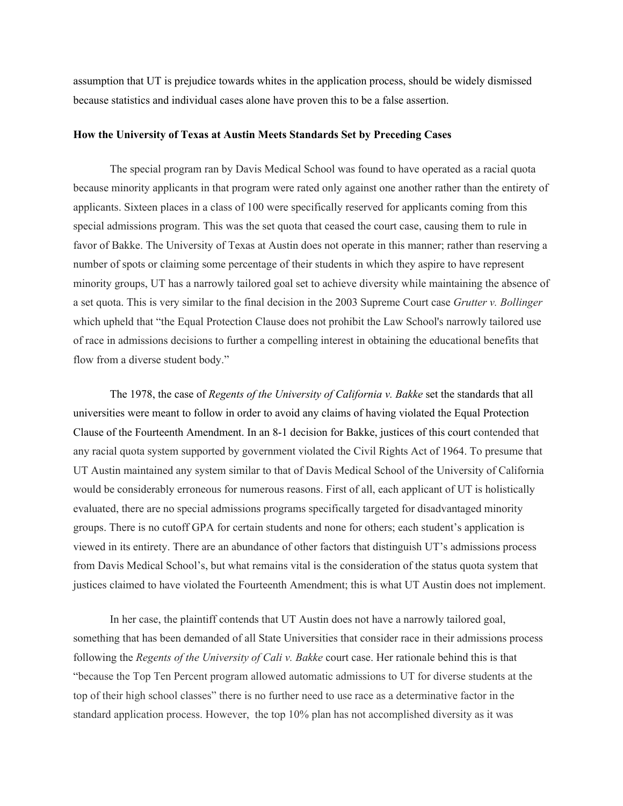assumption that UT is prejudice towards whites in the application process, should be widely dismissed because statistics and individual cases alone have proven this to be a false assertion.

#### **How the University of Texas at Austin Meets Standards Set by Preceding Cases**

The special program ran by Davis Medical School was found to have operated as a racial quota because minority applicants in that program were rated only against one another rather than the entirety of applicants. Sixteen places in a class of 100 were specifically reserved for applicants coming from this special admissions program. This was the set quota that ceased the court case, causing them to rule in favor of Bakke. The University of Texas at Austin does not operate in this manner; rather than reserving a number of spots or claiming some percentage of their students in which they aspire to have represent minority groups, UT has a narrowly tailored goal set to achieve diversity while maintaining the absence of a set quota. This is very similar to the final decision in the 2003 Supreme Court case *Grutter v. Bollinger* which upheld that "the Equal Protection Clause does not prohibit the Law School's narrowly tailored use of race in admissions decisions to further a compelling interest in obtaining the educational benefits that flow from a diverse student body."

The 1978, the case of *Regents of the University of California v. Bakke* set the standards that all universities were meant to follow in order to avoid any claims of having violated the Equal Protection Clause of the Fourteenth Amendment. In an 81 decision for Bakke, justices of this court contended that any racial quota system supported by government violated the Civil Rights Act of 1964. To presume that UT Austin maintained any system similar to that of Davis Medical School of the University of California would be considerably erroneous for numerous reasons. First of all, each applicant of UT is holistically evaluated, there are no special admissions programs specifically targeted for disadvantaged minority groups. There is no cutoff GPA for certain students and none for others; each student's application is viewed in its entirety. There are an abundance of other factors that distinguish UT's admissions process from Davis Medical School's, but what remains vital is the consideration of the status quota system that justices claimed to have violated the Fourteenth Amendment; this is what UT Austin does not implement.

In her case, the plaintiff contends that UT Austin does not have a narrowly tailored goal, something that has been demanded of all State Universities that consider race in their admissions process following the *Regents of the University of Cali v. Bakke* court case. Her rationale behind this is that "because the Top Ten Percent program allowed automatic admissions to UT for diverse students at the top of their high school classes" there is no further need to use race as a determinative factor in the standard application process. However, the top 10% plan has not accomplished diversity as it was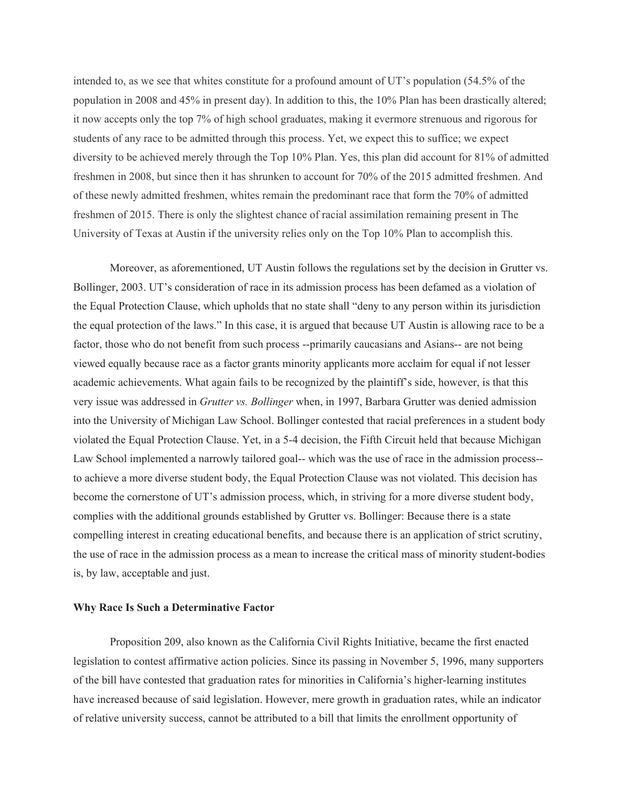intended to, as we see that whites constitute for a profound amount of UT's population (54.5% of the population in 2008 and 45% in present day). In addition to this, the 10% Plan has been drastically altered; it now accepts only the top 7% of high school graduates, making it evermore strenuous and rigorous for students of any race to be admitted through this process. Yet, we expect this to suffice; we expect diversity to be achieved merely through the Top 10% Plan. Yes, this plan did account for 81% of admitted freshmen in 2008, but since then it has shrunken to account for 70% of the 2015 admitted freshmen. And of these newly admitted freshmen, whites remain the predominant race that form the 70% of admitted freshmen of 2015. There is only the slightest chance of racial assimilation remaining present in The University of Texas at Austin if the university relies only on the Top 10% Plan to accomplish this.

Moreover, as aforementioned, UT Austin follows the regulations set by the decision in Grutter vs. Bollinger, 2003. UT's consideration of race in its admission process has been defamed as a violation of the Equal Protection Clause, which upholds that no state shall "deny to any person within its jurisdiction the equal protection of the laws." In this case, it is argued that because UT Austin is allowing race to be a factor, those who do not benefit from such process --primarily caucasians and Asians-- are not being viewed equally because race as a factor grants minority applicants more acclaim for equal if not lesser academic achievements. What again fails to be recognized by the plaintiff's side, however, is that this very issue was addressed in *Grutter vs. Bollinger* when, in 1997, Barbara Grutter was denied admission into the University of Michigan Law School. Bollinger contested that racial preferences in a student body violated the Equal Protection Clause. Yet, in a 54 decision, the Fifth Circuit held that because Michigan Law School implemented a narrowly tailored goal-- which was the use of race in the admission process-to achieve a more diverse student body, the Equal Protection Clause was not violated. This decision has become the cornerstone of UT's admission process, which, in striving for a more diverse student body, complies with the additional grounds established by Grutter vs. Bollinger: Because there is a state compelling interest in creating educational benefits, and because there is an application of strict scrutiny, the use of race in the admission process as a mean to increase the critical mass of minority student-bodies is, by law, acceptable and just.

#### **Why Race Is Such a Determinative Factor**

Proposition 209, also known as the California Civil Rights Initiative, became the first enacted legislation to contest affirmative action policies. Since its passing in November 5, 1996, many supporters of the bill have contested that graduation rates for minorities in California's higher-learning institutes have increased because of said legislation. However, mere growth in graduation rates, while an indicator of relative university success, cannot be attributed to a bill that limits the enrollment opportunity of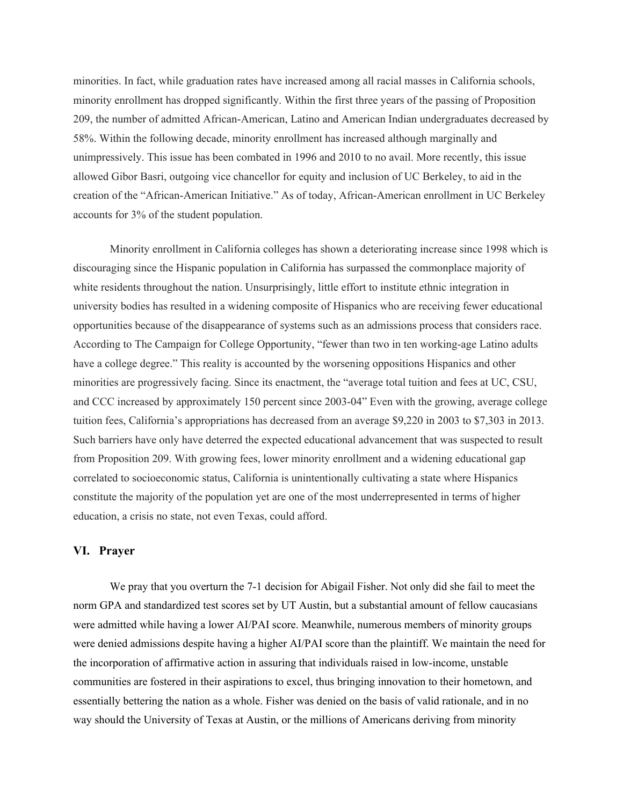minorities. In fact, while graduation rates have increased among all racial masses in California schools, minority enrollment has dropped significantly. Within the first three years of the passing of Proposition 209, the number of admitted African-American, Latino and American Indian undergraduates decreased by 58%. Within the following decade, minority enrollment has increased although marginally and unimpressively. This issue has been combated in 1996 and 2010 to no avail. More recently, this issue allowed Gibor Basri, outgoing vice chancellor for equity and inclusion of UC Berkeley, to aid in the creation of the "African-American Initiative." As of today, African-American enrollment in UC Berkeley accounts for 3% of the student population.

Minority enrollment in California colleges has shown a deteriorating increase since 1998 which is discouraging since the Hispanic population in California has surpassed the commonplace majority of white residents throughout the nation. Unsurprisingly, little effort to institute ethnic integration in university bodies has resulted in a widening composite of Hispanics who are receiving fewer educational opportunities because of the disappearance of systems such as an admissions process that considers race. According to The Campaign for College Opportunity, "fewer than two in ten working-age Latino adults have a college degree." This reality is accounted by the worsening oppositions Hispanics and other minorities are progressively facing. Since its enactment, the "average total tuition and fees at UC, CSU, and CCC increased by approximately 150 percent since 2003-04" Even with the growing, average college tuition fees, California's appropriations has decreased from an average \$9,220 in 2003 to \$7,303 in 2013. Such barriers have only have deterred the expected educational advancement that was suspected to result from Proposition 209. With growing fees, lower minority enrollment and a widening educational gap correlated to socioeconomic status, California is unintentionally cultivating a state where Hispanics constitute the majority of the population yet are one of the most underrepresented in terms of higher education, a crisis no state, not even Texas, could afford.

#### **VI. Prayer**

We pray that you overturn the 7-1 decision for Abigail Fisher. Not only did she fail to meet the norm GPA and standardized test scores set by UT Austin, but a substantial amount of fellow caucasians were admitted while having a lower AI/PAI score. Meanwhile, numerous members of minority groups were denied admissions despite having a higher AI/PAI score than the plaintiff. We maintain the need for the incorporation of affirmative action in assuring that individuals raised in low-income, unstable communities are fostered in their aspirations to excel, thus bringing innovation to their hometown, and essentially bettering the nation as a whole. Fisher was denied on the basis of valid rationale, and in no way should the University of Texas at Austin, or the millions of Americans deriving from minority